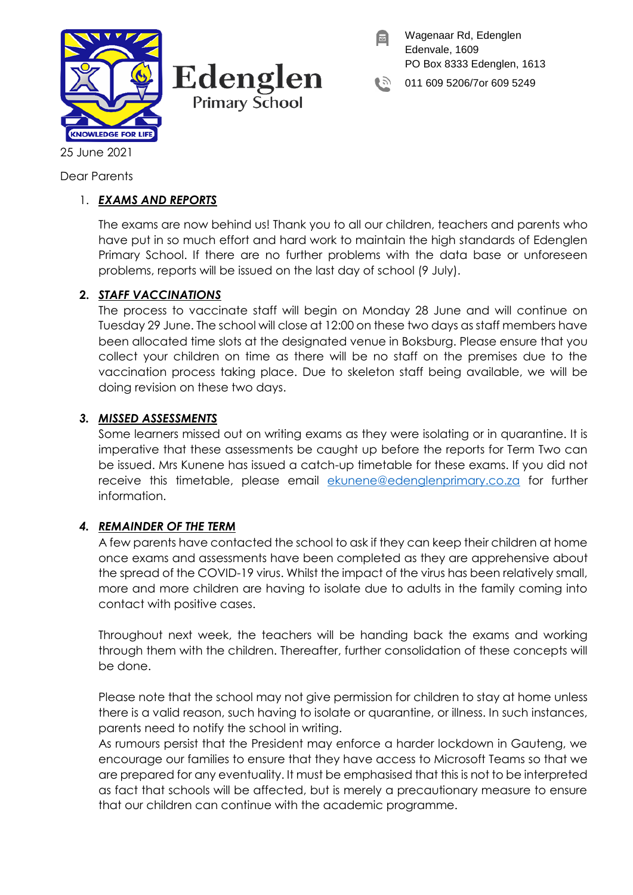

Edenglen **Primary School** 

Wagenaar Rd, Edenglen Edenvale, 1609 PO Box 8333 Edenglen, 1613

011 609 5206/7or 609 5249

25 June 2021

Dear Parents

# 1. *EXAMS AND REPORTS*

The exams are now behind us! Thank you to all our children, teachers and parents who have put in so much effort and hard work to maintain the high standards of Edenglen Primary School. If there are no further problems with the data base or unforeseen problems, reports will be issued on the last day of school (9 July).

# **2.** *STAFF VACCINATIONS*

The process to vaccinate staff will begin on Monday 28 June and will continue on Tuesday 29 June. The school will close at 12:00 on these two days as staff members have been allocated time slots at the designated venue in Boksburg. Please ensure that you collect your children on time as there will be no staff on the premises due to the vaccination process taking place. Due to skeleton staff being available, we will be doing revision on these two days.

## *3. MISSED ASSESSMENTS*

Some learners missed out on writing exams as they were isolating or in quarantine. It is imperative that these assessments be caught up before the reports for Term Two can be issued. Mrs Kunene has issued a catch-up timetable for these exams. If you did not receive this timetable, please email [ekunene@edenglenprimary.co.za](mailto:ekunene@edenglenprimary.co.za) for further information.

# *4. REMAINDER OF THE TERM*

A few parents have contacted the school to ask if they can keep their children at home once exams and assessments have been completed as they are apprehensive about the spread of the COVID-19 virus. Whilst the impact of the virus has been relatively small, more and more children are having to isolate due to adults in the family coming into contact with positive cases.

Throughout next week, the teachers will be handing back the exams and working through them with the children. Thereafter, further consolidation of these concepts will be done.

Please note that the school may not give permission for children to stay at home unless there is a valid reason, such having to isolate or quarantine, or illness. In such instances, parents need to notify the school in writing.

As rumours persist that the President may enforce a harder lockdown in Gauteng, we encourage our families to ensure that they have access to Microsoft Teams so that we are prepared for any eventuality. It must be emphasised that this is not to be interpreted as fact that schools will be affected, but is merely a precautionary measure to ensure that our children can continue with the academic programme.